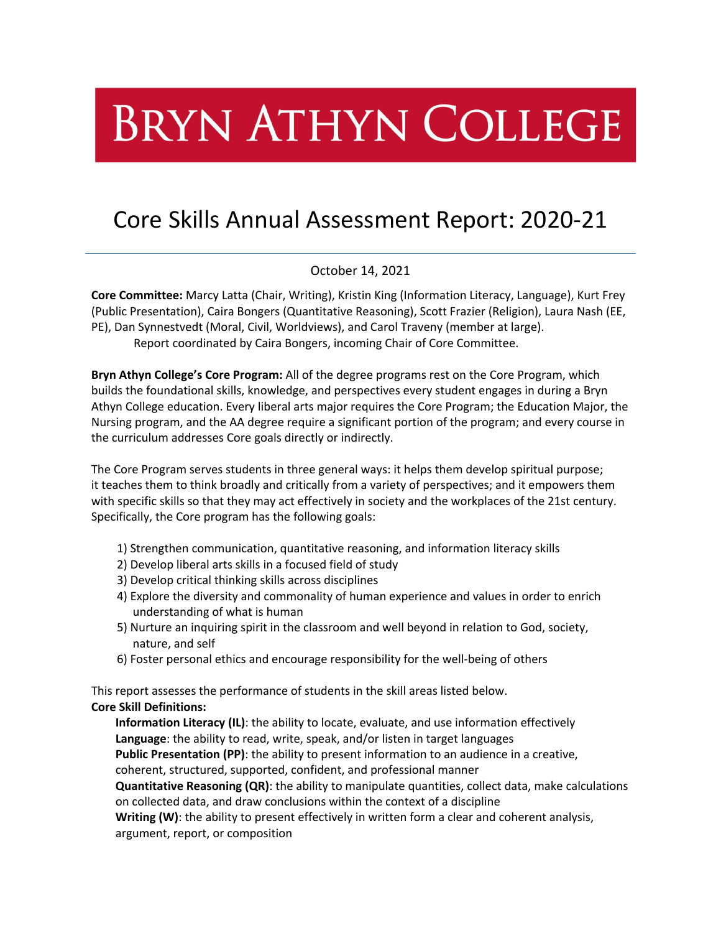# **BRYN ATHYN COLLEGE**

# Core Skills Annual Assessment Report: 2020-21

October 14, 2021

**Core Committee:** Marcy Latta (Chair, Writing), Kristin King (Information Literacy, Language), Kurt Frey (Public Presentation), Caira Bongers (Quantitative Reasoning), Scott Frazier (Religion), Laura Nash (EE, PE), Dan Synnestvedt (Moral, Civil, Worldviews), and Carol Traveny (member at large). Report coordinated by Caira Bongers, incoming Chair of Core Committee.

**Bryn Athyn College's Core Program:** All of the degree programs rest on the Core Program, which builds the foundational skills, knowledge, and perspectives every student engages in during a Bryn Athyn College education. Every liberal arts major requires the Core Program; the Education Major, the Nursing program, and the AA degree require a significant portion of the program; and every course in the curriculum addresses Core goals directly or indirectly.

The Core Program serves students in three general ways: it helps them develop spiritual purpose; it teaches them to think broadly and critically from a variety of perspectives; and it empowers them with specific skills so that they may act effectively in society and the workplaces of the 21st century. Specifically, the Core program has the following goals:

- 1) Strengthen communication, quantitative reasoning, and information literacy skills
- 2) Develop liberal arts skills in a focused field of study
- 3) Develop critical thinking skills across disciplines
- 4) Explore the diversity and commonality of human experience and values in order to enrich understanding of what is human
- 5) Nurture an inquiring spirit in the classroom and well beyond in relation to God, society, nature, and self
- 6) Foster personal ethics and encourage responsibility for the well-being of others

This report assesses the performance of students in the skill areas listed below. **Core Skill Definitions:**

**Information Literacy (IL)**: the ability to locate, evaluate, and use information effectively **Language**: the ability to read, write, speak, and/or listen in target languages **Public Presentation (PP)**: the ability to present information to an audience in a creative, coherent, structured, supported, confident, and professional manner

**Quantitative Reasoning (QR)**: the ability to manipulate quantities, collect data, make calculations on collected data, and draw conclusions within the context of a discipline

**Writing (W)**: the ability to present effectively in written form a clear and coherent analysis, argument, report, or composition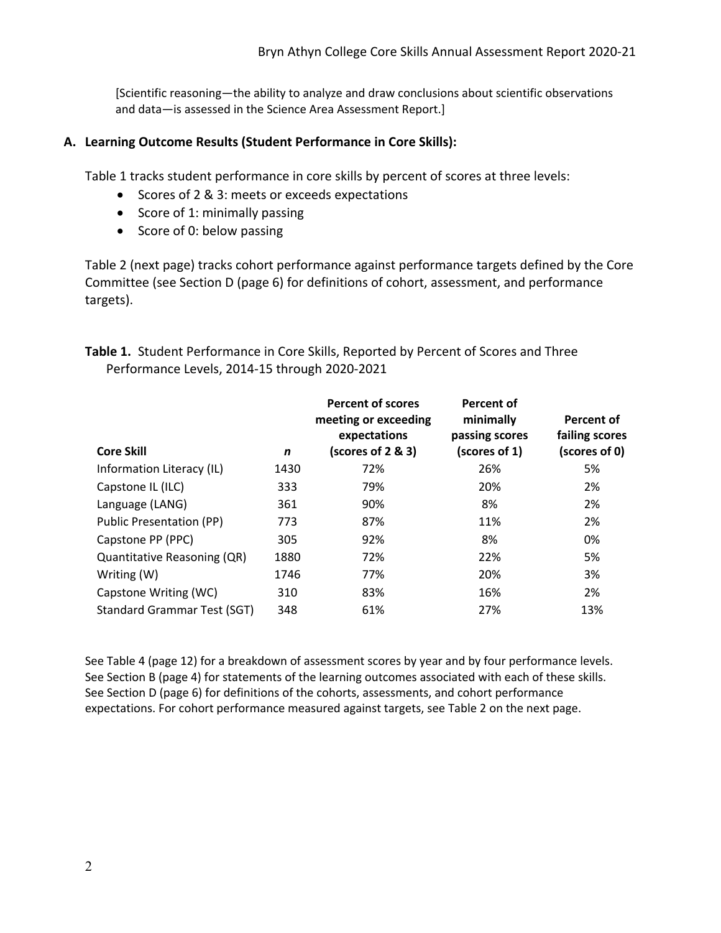[Scientific reasoning—the ability to analyze and draw conclusions about scientific observations and data—is assessed in the Science Area Assessment Report.]

# **A. Learning Outcome Results (Student Performance in Core Skills):**

Table 1 tracks student performance in core skills by percent of scores at three levels:

- Scores of 2 & 3: meets or exceeds expectations
- Score of 1: minimally passing
- Score of 0: below passing

Table 2 (next page) tracks cohort performance against performance targets defined by the Core Committee (see Section D (page 6) for definitions of cohort, assessment, and performance targets).

| Table 1. Student Performance in Core Skills, Reported by Percent of Scores and Three |  |
|--------------------------------------------------------------------------------------|--|
| Performance Levels, 2014-15 through 2020-2021                                        |  |

| <b>Core Skill</b>                  | n    | <b>Percent of scores</b><br>meeting or exceeding<br>expectations<br>(scores of 2 & 3) | Percent of<br>minimally<br>passing scores<br>(scores of 1) | Percent of<br>failing scores<br>(scores of 0) |
|------------------------------------|------|---------------------------------------------------------------------------------------|------------------------------------------------------------|-----------------------------------------------|
| Information Literacy (IL)          | 1430 | 72%                                                                                   | 26%                                                        | 5%                                            |
| Capstone IL (ILC)                  | 333  | 79%                                                                                   | 20%                                                        | 2%                                            |
| Language (LANG)                    | 361  | 90%                                                                                   | 8%                                                         | 2%                                            |
| <b>Public Presentation (PP)</b>    | 773  | 87%                                                                                   | 11%                                                        | 2%                                            |
| Capstone PP (PPC)                  | 305  | 92%                                                                                   | 8%                                                         | 0%                                            |
| Quantitative Reasoning (QR)        | 1880 | 72%                                                                                   | 22%                                                        | 5%                                            |
| Writing (W)                        | 1746 | 77%                                                                                   | 20%                                                        | 3%                                            |
| Capstone Writing (WC)              | 310  | 83%                                                                                   | 16%                                                        | 2%                                            |
| <b>Standard Grammar Test (SGT)</b> | 348  | 61%                                                                                   | 27%                                                        | 13%                                           |

See Table 4 (page 12) for a breakdown of assessment scores by year and by four performance levels. See Section B (page 4) for statements of the learning outcomes associated with each of these skills. See Section D (page 6) for definitions of the cohorts, assessments, and cohort performance expectations. For cohort performance measured against targets, see Table 2 on the next page.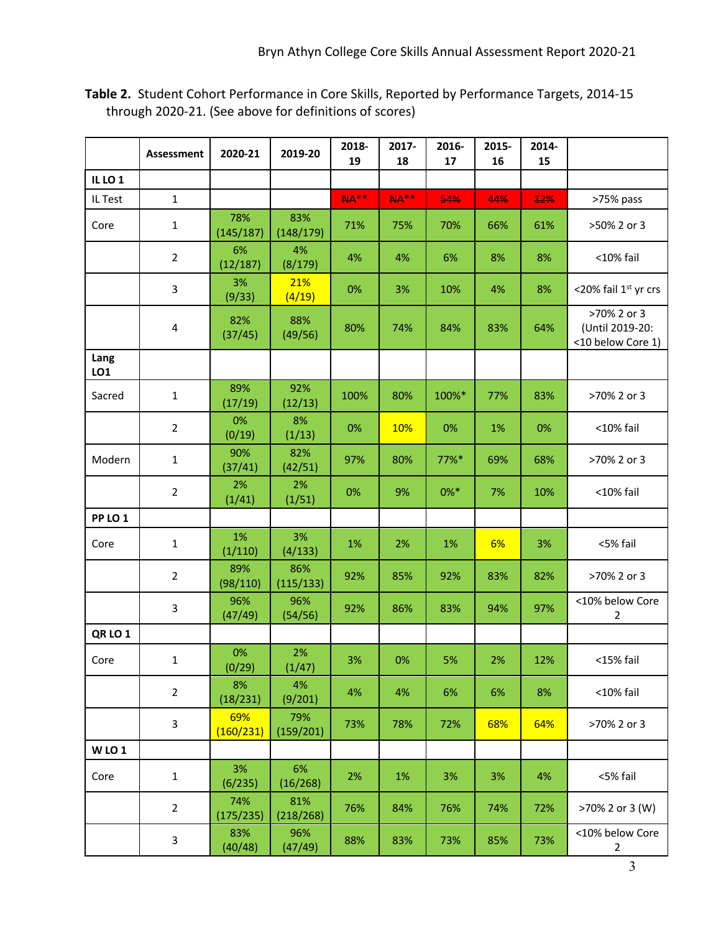|                    | <b>Assessment</b>       | 2020-21          | 2019-20          | 2018-<br>19 | 2017-<br>18 | 2016-<br>17 | 2015-<br>16 | 2014-<br>15 |                                                     |
|--------------------|-------------------------|------------------|------------------|-------------|-------------|-------------|-------------|-------------|-----------------------------------------------------|
| IL LO <sub>1</sub> |                         |                  |                  |             |             |             |             |             |                                                     |
| IL Test            | $\mathbf{1}$            |                  |                  | <b>NA**</b> | <b>NA**</b> | 54%         | 44%         | <b>12%</b>  | >75% pass                                           |
| Core               | $\mathbf{1}$            | 78%<br>(145/187) | 83%<br>(148/179) | 71%         | 75%         | 70%         | 66%         | 61%         | >50% 2 or 3                                         |
|                    | $\overline{2}$          | 6%<br>(12/187)   | 4%<br>(8/179)    | 4%          | 4%          | 6%          | 8%          | 8%          | <10% fail                                           |
|                    | 3                       | 3%<br>(9/33)     | 21%<br>(4/19)    | 0%          | 3%          | 10%         | 4%          | 8%          | <20% fail 1st yr crs                                |
|                    | $\overline{\mathbf{4}}$ | 82%<br>(37/45)   | 88%<br>(49/56)   | 80%         | 74%         | 84%         | 83%         | 64%         | >70% 2 or 3<br>(Until 2019-20:<br><10 below Core 1) |
| Lang<br>LO1        |                         |                  |                  |             |             |             |             |             |                                                     |
| Sacred             | $\mathbf{1}$            | 89%<br>(17/19)   | 92%<br>(12/13)   | 100%        | 80%         | 100%*       | 77%         | 83%         | >70% 2 or 3                                         |
|                    | $\overline{2}$          | 0%<br>(0/19)     | 8%<br>(1/13)     | 0%          | 10%         | 0%          | 1%          | 0%          | <10% fail                                           |
| Modern             | $\mathbf 1$             | 90%<br>(37/41)   | 82%<br>(42/51)   | 97%         | 80%         | 77%*        | 69%         | 68%         | >70% 2 or 3                                         |
|                    | $\overline{2}$          | 2%<br>(1/41)     | 2%<br>(1/51)     | 0%          | 9%          | $0\%*$      | 7%          | 10%         | <10% fail                                           |
| PP LO <sub>1</sub> |                         |                  |                  |             |             |             |             |             |                                                     |
| Core               | $\mathbf{1}$            | 1%<br>(1/110)    | 3%<br>(4/133)    | 1%          | 2%          | 1%          | 6%          | 3%          | <5% fail                                            |
|                    | $\overline{2}$          | 89%<br>(98/110)  | 86%<br>(115/133) | 92%         | 85%         | 92%         | 83%         | 82%         | >70% 2 or 3                                         |
|                    | 3                       | 96%<br>(47/49)   | 96%<br>(54/56)   | 92%         | 86%         | 83%         | 94%         | 97%         | <10% below Core<br>2                                |
| QRLO <sub>1</sub>  |                         |                  |                  |             |             |             |             |             |                                                     |
| Core               | $\mathbf{1}$            | 0%<br>(0/29)     | 2%<br>(1/47)     | 3%          | 0%          | 5%          | 2%          | 12%         | <15% fail                                           |
|                    | $\overline{2}$          | 8%<br>(18/231)   | 4%<br>(9/201)    | 4%          | 4%          | 6%          | 6%          | 8%          | <10% fail                                           |
|                    | 3                       | 69%<br>(160/231) | 79%<br>(159/201) | 73%         | 78%         | 72%         | 68%         | 64%         | >70% 2 or 3                                         |
| <b>WLO1</b>        |                         |                  |                  |             |             |             |             |             |                                                     |
| Core               | $\mathbf 1$             | 3%<br>(6/235)    | 6%<br>(16/268)   | 2%          | 1%          | 3%          | 3%          | 4%          | <5% fail                                            |
|                    | $\overline{2}$          | 74%<br>(175/235) | 81%<br>(218/268) | 76%         | 84%         | 76%         | 74%         | 72%         | >70% 2 or 3 (W)                                     |
|                    | 3                       | 83%<br>(40/48)   | 96%<br>(47/49)   | 88%         | 83%         | 73%         | 85%         | 73%         | <10% below Core<br>$\overline{2}$                   |

**Table 2.** Student Cohort Performance in Core Skills, Reported by Performance Targets, 2014-15 through 2020-21. (See above for definitions of scores)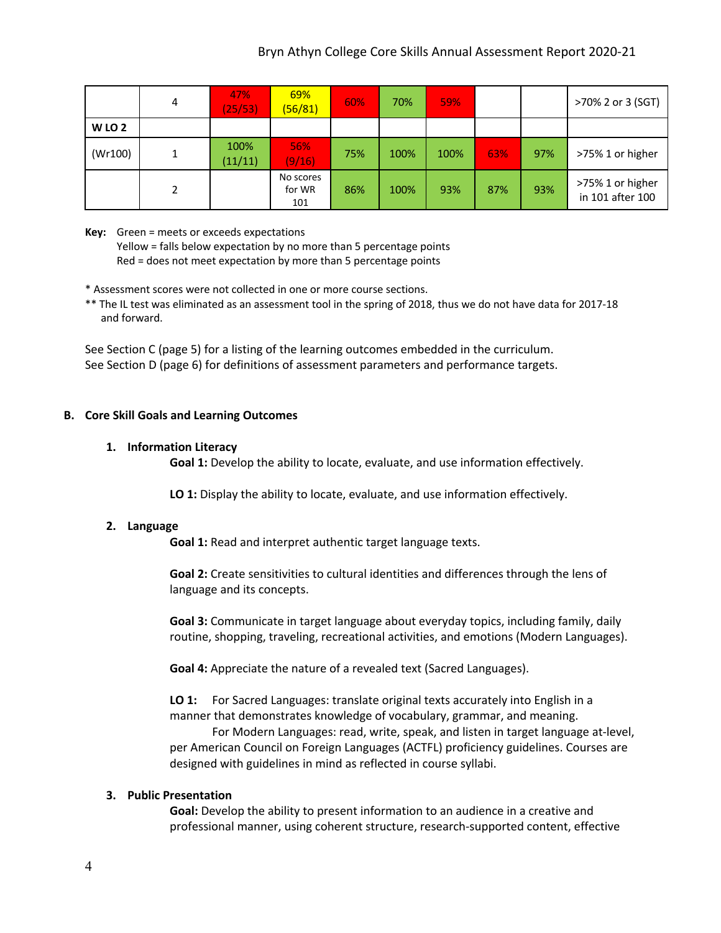# Bryn Athyn College Core Skills Annual Assessment Report 2020-21

|          | 4 | 47%<br>(25/53)  | 69%<br>(56/81)             | 60% | 70%  | 59%  |     |     | >70% 2 or 3 (SGT)                    |
|----------|---|-----------------|----------------------------|-----|------|------|-----|-----|--------------------------------------|
| $W$ LO 2 |   |                 |                            |     |      |      |     |     |                                      |
| (Wr100)  |   | 100%<br>(11/11) | 56%<br>(9/16)              | 75% | 100% | 100% | 63% | 97% | >75% 1 or higher                     |
|          |   |                 | No scores<br>for WR<br>101 | 86% | 100% | 93%  | 87% | 93% | >75% 1 or higher<br>in 101 after 100 |

**Key:** Green = meets or exceeds expectations

Yellow = falls below expectation by no more than 5 percentage points Red = does not meet expectation by more than 5 percentage points

\* Assessment scores were not collected in one or more course sections.

\*\* The IL test was eliminated as an assessment tool in the spring of 2018, thus we do not have data for 2017-18 and forward.

See Section C (page 5) for a listing of the learning outcomes embedded in the curriculum. See Section D (page 6) for definitions of assessment parameters and performance targets.

### **B. Core Skill Goals and Learning Outcomes**

#### **1. Information Literacy**

**Goal 1:** Develop the ability to locate, evaluate, and use information effectively.

**LO 1:** Display the ability to locate, evaluate, and use information effectively.

#### **2. Language**

**Goal 1:** Read and interpret authentic target language texts.

**Goal 2:** Create sensitivities to cultural identities and differences through the lens of language and its concepts.

**Goal 3:** Communicate in target language about everyday topics, including family, daily routine, shopping, traveling, recreational activities, and emotions (Modern Languages).

**Goal 4:** Appreciate the nature of a revealed text (Sacred Languages).

**LO 1:** For Sacred Languages: translate original texts accurately into English in a manner that demonstrates knowledge of vocabulary, grammar, and meaning. For Modern Languages: read, write, speak, and listen in target language at-level, per American Council on Foreign Languages (ACTFL) proficiency guidelines. Courses are designed with guidelines in mind as reflected in course syllabi.

# **3. Public Presentation**

**Goal:** Develop the ability to present information to an audience in a creative and professional manner, using coherent structure, research-supported content, effective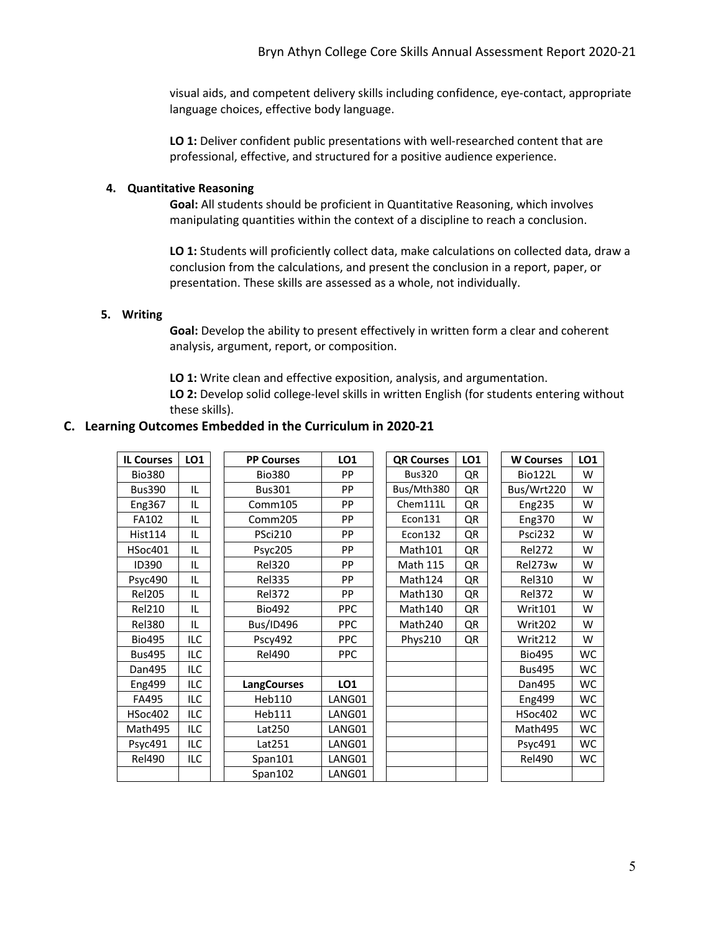visual aids, and competent delivery skills including confidence, eye-contact, appropriate language choices, effective body language.

LO 1: Deliver confident public presentations with well-researched content that are professional, effective, and structured for a positive audience experience.

### **4. Quantitative Reasoning**

**Goal:** All students should be proficient in Quantitative Reasoning, which involves manipulating quantities within the context of a discipline to reach a conclusion.

**LO 1:** Students will proficiently collect data, make calculations on collected data, draw a conclusion from the calculations, and present the conclusion in a report, paper, or presentation. These skills are assessed as a whole, not individually.

### **5. Writing**

**Goal:** Develop the ability to present effectively in written form a clear and coherent analysis, argument, report, or composition.

**LO 1:** Write clean and effective exposition, analysis, and argumentation. **LO 2:** Develop solid college-level skills in written English (for students entering without these skills).

# **C. Learning Outcomes Embedded in the Curriculum in 2020-21**

| <b>IL Courses</b> | LO1        | <b>PP Courses</b>  | LO1             | <b>QR Courses</b> | LO1 | <b>W</b> Courses | LO1       |
|-------------------|------------|--------------------|-----------------|-------------------|-----|------------------|-----------|
| <b>Bio380</b>     |            | <b>Bio380</b>      | PP              | <b>Bus320</b>     | QR  | <b>Bio122L</b>   | W         |
| <b>Bus390</b>     | IL         | <b>Bus301</b>      | PP              | Bus/Mth380        | QR  | Bus/Wrt220       | w         |
| Eng367            | IL         | Comm105            | <b>PP</b>       | Chem111L          | QR  | <b>Eng235</b>    | W         |
| FA102             | IL         | Comm205            | PP              | Econ131           | QR  | Eng370           | W         |
| <b>Hist114</b>    | IL         | <b>PSci210</b>     | PP              | Econ132           | QR  | Psci232          | W         |
| <b>HSoc401</b>    | IL         | Psyc205            | <b>PP</b>       | Math101           | QR  | <b>Rel272</b>    | w         |
| <b>ID390</b>      | IL         | <b>Rel320</b>      | PP              | <b>Math 115</b>   | QR  | Rel273w          | w         |
| Psyc490           | IL         | <b>Rel335</b>      | PP              | Math124           | QR  | <b>Rel310</b>    | W         |
| <b>Rel205</b>     | IL         | <b>Rel372</b>      | <b>PP</b>       | Math130           | QR  | <b>Rel372</b>    | w         |
| <b>Rel210</b>     | IL         | <b>Bio492</b>      | <b>PPC</b>      | Math140           | QR  | Writ101          | W         |
| <b>Rel380</b>     | IL         | Bus/ID496          | <b>PPC</b>      | Math240           | QR  | Writ202          | W         |
| <b>Bio495</b>     | <b>ILC</b> | Pscy492            | <b>PPC</b>      | Phys210           | QR  | Writ212          | W         |
| <b>Bus495</b>     | ILC        | <b>Rel490</b>      | <b>PPC</b>      |                   |     | <b>Bio495</b>    | <b>WC</b> |
| Dan495            | ILC        |                    |                 |                   |     | <b>Bus495</b>    | <b>WC</b> |
| <b>Eng499</b>     | ILC        | <b>LangCourses</b> | LO <sub>1</sub> |                   |     | Dan495           | <b>WC</b> |
| FA495             | ILC        | Heb110             | LANG01          |                   |     | <b>Eng499</b>    | <b>WC</b> |
| <b>HSoc402</b>    | <b>ILC</b> | Heb111             | LANG01          |                   |     | <b>HSoc402</b>   | <b>WC</b> |
| Math495           | ILC        | Lat250             | LANG01          |                   |     | Math495          | <b>WC</b> |
| Psyc491           | ILC        | Lat251             | LANG01          |                   |     | Psyc491          | WC        |
| <b>Rel490</b>     | ILC        | Span101            | LANG01          |                   |     | <b>Rel490</b>    | WC        |
|                   |            | Span102            | LANG01          |                   |     |                  |           |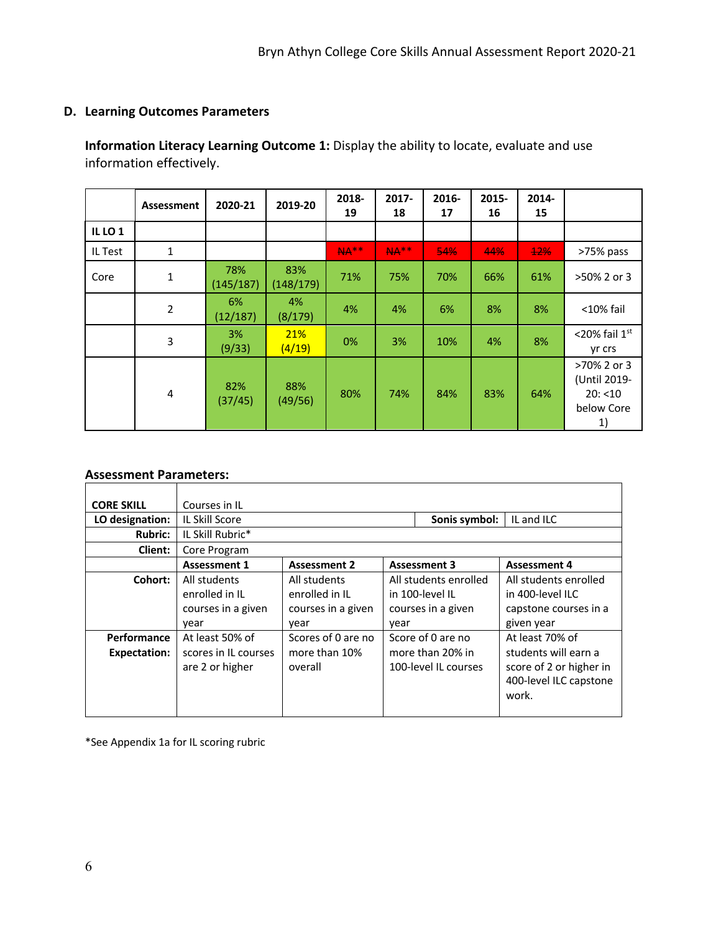# **D. Learning Outcomes Parameters**

**Information Literacy Learning Outcome 1:** Display the ability to locate, evaluate and use information effectively.

|                    | Assessment     | 2020-21          | 2019-20          | 2018-<br>19 | 2017-<br>18 | 2016-<br>17 | 2015-<br>16 | 2014-<br>15 |                                                             |
|--------------------|----------------|------------------|------------------|-------------|-------------|-------------|-------------|-------------|-------------------------------------------------------------|
| IL LO <sub>1</sub> |                |                  |                  |             |             |             |             |             |                                                             |
| IL Test            | $\mathbf{1}$   |                  |                  | <b>NA**</b> | <b>NA**</b> | 54%         | 44%         | $+2%$       | >75% pass                                                   |
| Core               | $\mathbf{1}$   | 78%<br>(145/187) | 83%<br>(148/179) | 71%         | 75%         | 70%         | 66%         | 61%         | >50% 2 or 3                                                 |
|                    | $\overline{2}$ | 6%<br>(12/187)   | 4%<br>(8/179)    | 4%          | 4%          | 6%          | 8%          | 8%          | $<$ 10% fail                                                |
|                    | 3              | 3%<br>(9/33)     | 21%<br>(4/19)    | 0%          | 3%          | 10%         | 4%          | 8%          | <20% fail $1st$<br>yr crs                                   |
|                    | 4              | 82%<br>(37/45)   | 88%<br>(49/56)   | 80%         | 74%         | 84%         | 83%         | 64%         | >70% 2 or 3<br>(Until 2019-<br>20: < 10<br>below Core<br>1) |

### **Assessment Parameters:**

| <b>CORE SKILL</b>   | Courses in IL        |                             |      |                       |                         |  |  |  |  |
|---------------------|----------------------|-----------------------------|------|-----------------------|-------------------------|--|--|--|--|
| LO designation:     | IL Skill Score       | Sonis symbol:<br>IL and ILC |      |                       |                         |  |  |  |  |
| <b>Rubric:</b>      | IL Skill Rubric*     |                             |      |                       |                         |  |  |  |  |
| Client:             | Core Program         |                             |      |                       |                         |  |  |  |  |
|                     | <b>Assessment 1</b>  | <b>Assessment 2</b>         |      | <b>Assessment 3</b>   | <b>Assessment 4</b>     |  |  |  |  |
| Cohort:             | All students         | All students                |      | All students enrolled | All students enrolled   |  |  |  |  |
|                     | enrolled in IL       | enrolled in IL              |      | in 100-level II       | in 400-level ILC        |  |  |  |  |
|                     | courses in a given   | courses in a given          |      | courses in a given    | capstone courses in a   |  |  |  |  |
|                     | year                 | vear                        | year |                       | given year              |  |  |  |  |
| Performance         | At least 50% of      | Scores of 0 are no          |      | Score of 0 are no     | At least 70% of         |  |  |  |  |
| <b>Expectation:</b> | scores in IL courses | more than 10%               |      | more than 20% in      | students will earn a    |  |  |  |  |
|                     | are 2 or higher      | overall                     |      | 100-level II courses  | score of 2 or higher in |  |  |  |  |
|                     |                      |                             |      |                       | 400-level ILC capstone  |  |  |  |  |
|                     |                      |                             |      |                       | work.                   |  |  |  |  |
|                     |                      |                             |      |                       |                         |  |  |  |  |

\*See Appendix 1a for IL scoring rubric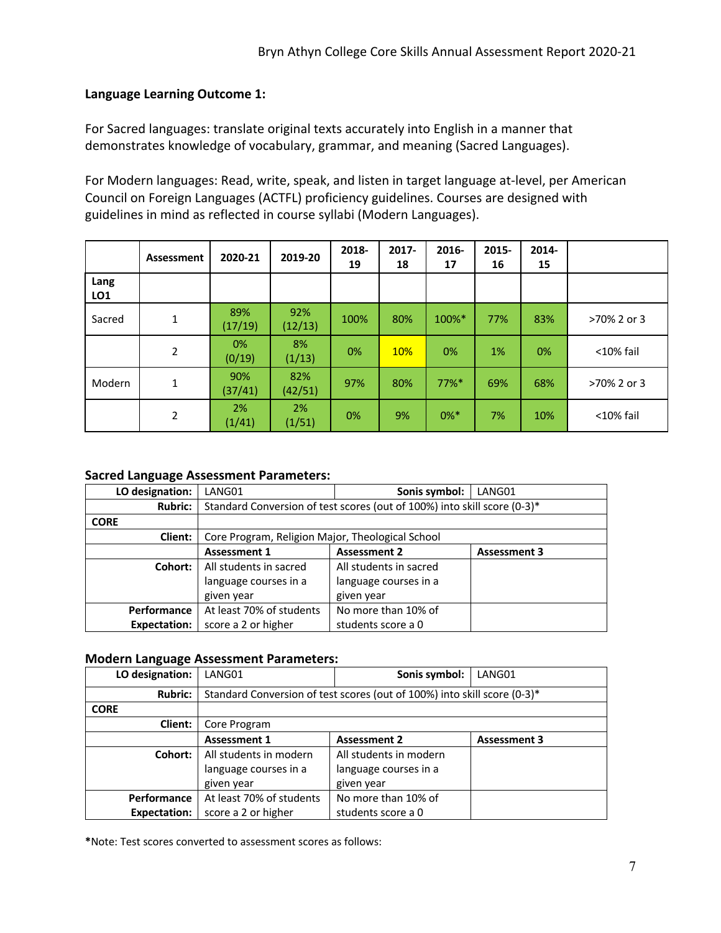# **Language Learning Outcome 1:**

For Sacred languages: translate original texts accurately into English in a manner that demonstrates knowledge of vocabulary, grammar, and meaning (Sacred Languages).

For Modern languages: Read, write, speak, and listen in target language at-level, per American Council on Foreign Languages (ACTFL) proficiency guidelines. Courses are designed with guidelines in mind as reflected in course syllabi (Modern Languages).

|             | Assessment     | 2020-21        | 2019-20         | 2018-<br>19 | $2017 -$<br>18 | 2016-<br>17 | 2015-<br>16 | 2014-<br>15 |              |
|-------------|----------------|----------------|-----------------|-------------|----------------|-------------|-------------|-------------|--------------|
| Lang<br>LO1 |                |                |                 |             |                |             |             |             |              |
| Sacred      | 1              | 89%<br>(17/19) | 92%<br>(12/13)  | 100%        | 80%            | 100%*       | 77%         | 83%         | >70% 2 or 3  |
|             | $\overline{2}$ | 0%<br>(0/19)   | 8%<br>(1/13)    | 0%          | <b>10%</b>     | 0%          | 1%          | 0%          | $<$ 10% fail |
| Modern      | 1              | 90%<br>(37/41) | 82%<br>(42/51)  | 97%         | 80%            | $77\%$ *    | 69%         | 68%         | >70% 2 or 3  |
|             | 2              | 2%<br>(1/41)   | $2\%$<br>(1/51) | 0%          | 9%             | $0\%$ *     | 7%          | 10%         | $<$ 10% fail |

# **Sacred Language Assessment Parameters:**

| LO designation:     | LANG01                                                                   | Sonis symbol:          | LANG01              |  |  |  |  |  |
|---------------------|--------------------------------------------------------------------------|------------------------|---------------------|--|--|--|--|--|
| <b>Rubric:</b>      | Standard Conversion of test scores (out of 100%) into skill score (0-3)* |                        |                     |  |  |  |  |  |
| <b>CORE</b>         |                                                                          |                        |                     |  |  |  |  |  |
| Client:             | Core Program, Religion Major, Theological School                         |                        |                     |  |  |  |  |  |
|                     | <b>Assessment 1</b>                                                      | <b>Assessment 2</b>    | <b>Assessment 3</b> |  |  |  |  |  |
| Cohort:             | All students in sacred                                                   | All students in sacred |                     |  |  |  |  |  |
|                     | language courses in a                                                    | language courses in a  |                     |  |  |  |  |  |
|                     | given year                                                               | given year             |                     |  |  |  |  |  |
| <b>Performance</b>  | At least 70% of students                                                 | No more than 10% of    |                     |  |  |  |  |  |
| <b>Expectation:</b> | score a 2 or higher                                                      | students score a 0     |                     |  |  |  |  |  |

#### **Modern Language Assessment Parameters:**

| LO designation: | LANG01                                                                   | Sonis symbol:          | LANG01              |  |  |  |  |  |
|-----------------|--------------------------------------------------------------------------|------------------------|---------------------|--|--|--|--|--|
| <b>Rubric:</b>  | Standard Conversion of test scores (out of 100%) into skill score (0-3)* |                        |                     |  |  |  |  |  |
| <b>CORE</b>     |                                                                          |                        |                     |  |  |  |  |  |
| Client:         | Core Program                                                             |                        |                     |  |  |  |  |  |
|                 | <b>Assessment 1</b>                                                      | <b>Assessment 2</b>    | <b>Assessment 3</b> |  |  |  |  |  |
| Cohort:         | All students in modern                                                   | All students in modern |                     |  |  |  |  |  |
|                 | language courses in a                                                    | language courses in a  |                     |  |  |  |  |  |
|                 | given year                                                               | given year             |                     |  |  |  |  |  |
| Performance     | At least 70% of students                                                 | No more than 10% of    |                     |  |  |  |  |  |
| Expectation:    | score a 2 or higher                                                      | students score a 0     |                     |  |  |  |  |  |

**\***Note: Test scores converted to assessment scores as follows: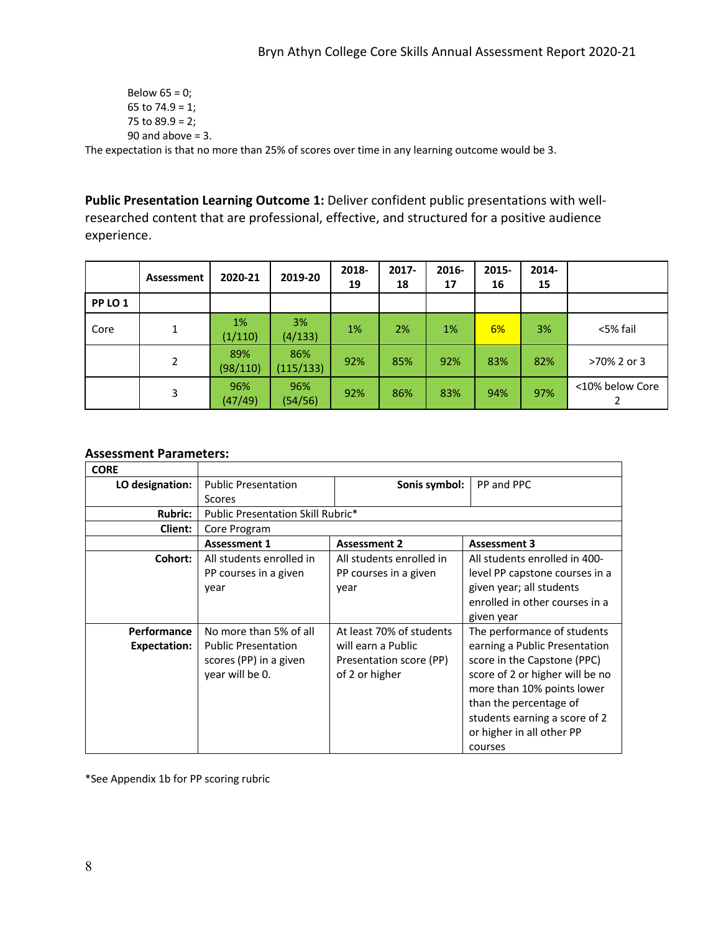```
Below 65 = 0;
        65 to 74.9 = 1; 
        75 to 89.9 = 2;
        90 and above = 3.
The expectation is that no more than 25% of scores over time in any learning outcome would be 3.
```
**Public Presentation Learning Outcome 1:** Deliver confident public presentations with wellresearched content that are professional, effective, and structured for a positive audience experience.

|         | Assessment | 2020-21         | 2019-20          | 2018-<br>19 | $2017 -$<br>18 | 2016-<br>17 | 2015-<br>16 | 2014-<br>15 |                 |
|---------|------------|-----------------|------------------|-------------|----------------|-------------|-------------|-------------|-----------------|
| PP LO 1 |            |                 |                  |             |                |             |             |             |                 |
| Core    | 1          | 1%<br>(1/110)   | 3%<br>(4/133)    | 1%          | 2%             | 1%          | 6%          | 3%          | <5% fail        |
|         | 2          | 89%<br>(98/110) | 86%<br>(115/133) | 92%         | 85%            | 92%         | 83%         | 82%         | >70% 2 or 3     |
|         | 3          | 96%<br>(47/49)  | 96%<br>(54/56)   | 92%         | 86%            | 83%         | 94%         | 97%         | <10% below Core |

# **Assessment Parameters:**

| <b>CORE</b>         |                                                                         |                                                                 |                                                                                                                                                                                                                                  |
|---------------------|-------------------------------------------------------------------------|-----------------------------------------------------------------|----------------------------------------------------------------------------------------------------------------------------------------------------------------------------------------------------------------------------------|
| LO designation:     | <b>Public Presentation</b>                                              | Sonis symbol:                                                   | PP and PPC                                                                                                                                                                                                                       |
|                     | Scores                                                                  |                                                                 |                                                                                                                                                                                                                                  |
| <b>Rubric:</b>      | Public Presentation Skill Rubric*                                       |                                                                 |                                                                                                                                                                                                                                  |
| Client:             | Core Program                                                            |                                                                 |                                                                                                                                                                                                                                  |
|                     | <b>Assessment 1</b>                                                     | <b>Assessment 2</b>                                             | <b>Assessment 3</b>                                                                                                                                                                                                              |
| Cohort:             | All students enrolled in<br>PP courses in a given<br>year               | All students enrolled in<br>PP courses in a given<br>year       | All students enrolled in 400-<br>level PP capstone courses in a<br>given year; all students<br>enrolled in other courses in a<br>given year                                                                                      |
| Performance         | No more than 5% of all                                                  | At least 70% of students                                        | The performance of students                                                                                                                                                                                                      |
| <b>Expectation:</b> | <b>Public Presentation</b><br>scores (PP) in a given<br>year will be 0. | will earn a Public<br>Presentation score (PP)<br>of 2 or higher | earning a Public Presentation<br>score in the Capstone (PPC)<br>score of 2 or higher will be no<br>more than 10% points lower<br>than the percentage of<br>students earning a score of 2<br>or higher in all other PP<br>courses |

\*See Appendix 1b for PP scoring rubric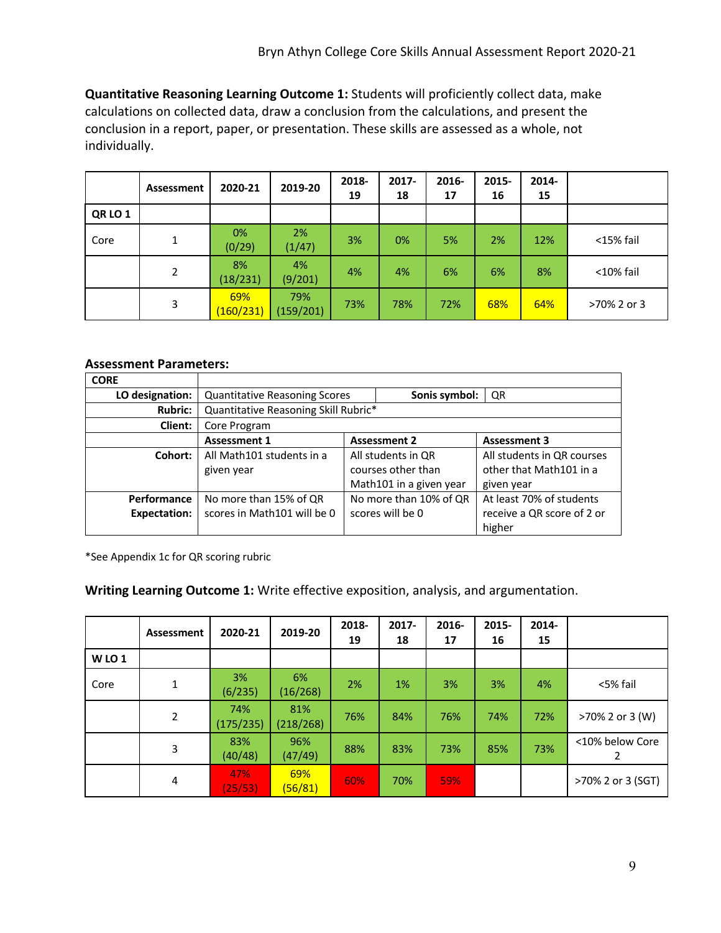**Quantitative Reasoning Learning Outcome 1:** Students will proficiently collect data, make calculations on collected data, draw a conclusion from the calculations, and present the conclusion in a report, paper, or presentation. These skills are assessed as a whole, not individually.

|                | Assessment | 2020-21          | 2019-20          | 2018-<br>19 | $2017 -$<br>18 | 2016-<br>17 | 2015-<br>16 | 2014-<br>15 |              |
|----------------|------------|------------------|------------------|-------------|----------------|-------------|-------------|-------------|--------------|
| <b>QR LO 1</b> |            |                  |                  |             |                |             |             |             |              |
| Core           | 1          | 0%<br>(0/29)     | 2%<br>(1/47)     | 3%          | 0%             | 5%          | 2%          | 12%         | $<$ 15% fail |
|                | 2          | 8%<br>(18/231)   | 4%<br>(9/201)    | 4%          | 4%             | 6%          | 6%          | 8%          | $<$ 10% fail |
|                | 3          | 69%<br>(160/231) | 79%<br>(159/201) | 73%         | 78%            | 72%         | 68%         | 64%         | >70% 2 or 3  |

# **Assessment Parameters:**

| <b>CORE</b>         |                                      |  |                         |                            |  |  |  |  |  |
|---------------------|--------------------------------------|--|-------------------------|----------------------------|--|--|--|--|--|
| LO designation:     | <b>Quantitative Reasoning Scores</b> |  | Sonis symbol:           | QR                         |  |  |  |  |  |
| <b>Rubric:</b>      | Quantitative Reasoning Skill Rubric* |  |                         |                            |  |  |  |  |  |
| Client:             | Core Program                         |  |                         |                            |  |  |  |  |  |
|                     | <b>Assessment 1</b>                  |  | <b>Assessment 2</b>     | <b>Assessment 3</b>        |  |  |  |  |  |
| Cohort:             | All Math101 students in a            |  | All students in QR      | All students in QR courses |  |  |  |  |  |
|                     | given year                           |  | courses other than      | other that Math101 in a    |  |  |  |  |  |
|                     |                                      |  | Math101 in a given year | given year                 |  |  |  |  |  |
| Performance         | No more than 15% of QR               |  | No more than 10% of QR  | At least 70% of students   |  |  |  |  |  |
| <b>Expectation:</b> | scores in Math101 will be 0          |  | scores will be 0        | receive a QR score of 2 or |  |  |  |  |  |
|                     |                                      |  |                         | higher                     |  |  |  |  |  |

\*See Appendix 1c for QR scoring rubric

# **Writing Learning Outcome 1:** Write effective exposition, analysis, and argumentation.

|             | Assessment | 2020-21          | 2019-20          | 2018-<br>19 | $2017 -$<br>18 | 2016-<br>17 | 2015-<br>16 | 2014-<br>15 |                   |
|-------------|------------|------------------|------------------|-------------|----------------|-------------|-------------|-------------|-------------------|
| <b>WIO1</b> |            |                  |                  |             |                |             |             |             |                   |
| Core        | 1          | 3%<br>(6/235)    | 6%<br>(16/268)   | 2%          | 1%             | 3%          | 3%          | 4%          | <5% fail          |
|             | 2          | 74%<br>(175/235) | 81%<br>(218/268) | 76%         | 84%            | 76%         | 74%         | 72%         | >70% 2 or 3 (W)   |
|             | 3          | 83%<br>(40/48)   | 96%<br>(47/49)   | 88%         | 83%            | 73%         | 85%         | 73%         | <10% below Core   |
|             | 4          | 47%<br>(25/53)   | 69%<br>(56/81)   | 60%         | 70%            | 59%         |             |             | >70% 2 or 3 (SGT) |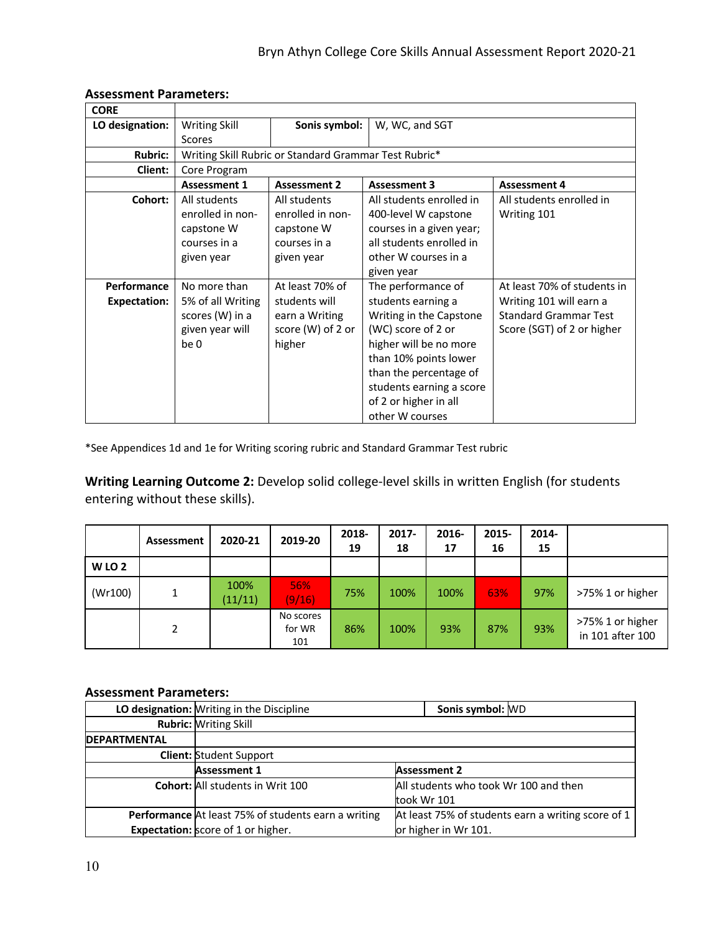| <b>CORE</b>         |                     |                                                       |                          |                              |  |  |  |  |  |
|---------------------|---------------------|-------------------------------------------------------|--------------------------|------------------------------|--|--|--|--|--|
| LO designation:     | Writing Skill       | Sonis symbol:                                         | W, WC, and SGT           |                              |  |  |  |  |  |
|                     | <b>Scores</b>       |                                                       |                          |                              |  |  |  |  |  |
| <b>Rubric:</b>      |                     | Writing Skill Rubric or Standard Grammar Test Rubric* |                          |                              |  |  |  |  |  |
| Client:             | Core Program        |                                                       |                          |                              |  |  |  |  |  |
|                     | <b>Assessment 1</b> | <b>Assessment 2</b>                                   | <b>Assessment 3</b>      | <b>Assessment 4</b>          |  |  |  |  |  |
| Cohort:             | All students        | All students                                          | All students enrolled in | All students enrolled in     |  |  |  |  |  |
|                     | enrolled in non-    | enrolled in non-                                      | 400-level W capstone     | Writing 101                  |  |  |  |  |  |
|                     | capstone W          | capstone W                                            | courses in a given year; |                              |  |  |  |  |  |
|                     | courses in a        | courses in a                                          | all students enrolled in |                              |  |  |  |  |  |
|                     | given year          | given year                                            | other W courses in a     |                              |  |  |  |  |  |
|                     |                     |                                                       | given year               |                              |  |  |  |  |  |
| Performance         | No more than        | At least 70% of                                       | The performance of       | At least 70% of students in  |  |  |  |  |  |
| <b>Expectation:</b> | 5% of all Writing   | students will                                         | students earning a       | Writing 101 will earn a      |  |  |  |  |  |
|                     | scores (W) in a     | earn a Writing                                        | Writing in the Capstone  | <b>Standard Grammar Test</b> |  |  |  |  |  |
|                     | given year will     | score (W) of 2 or                                     | (WC) score of 2 or       | Score (SGT) of 2 or higher   |  |  |  |  |  |
|                     | be 0                | higher                                                | higher will be no more   |                              |  |  |  |  |  |
|                     |                     |                                                       | than 10% points lower    |                              |  |  |  |  |  |
|                     |                     |                                                       | than the percentage of   |                              |  |  |  |  |  |
|                     |                     |                                                       | students earning a score |                              |  |  |  |  |  |
|                     |                     |                                                       | of 2 or higher in all    |                              |  |  |  |  |  |
|                     |                     |                                                       | other W courses          |                              |  |  |  |  |  |

#### **Assessment Parameters:**

\*See Appendices 1d and 1e for Writing scoring rubric and Standard Grammar Test rubric

**Writing Learning Outcome 2:** Develop solid college-level skills in written English (for students entering without these skills).

|                  | Assessment | 2020-21         | 2019-20                    | 2018-<br>19 | $2017 -$<br>18 | 2016-<br>17 | 2015-<br>16 | 2014-<br>15 |                                      |
|------------------|------------|-----------------|----------------------------|-------------|----------------|-------------|-------------|-------------|--------------------------------------|
| WLO <sub>2</sub> |            |                 |                            |             |                |             |             |             |                                      |
| (Wr100)          |            | 100%<br>(11/11) | 56%<br>(9/16)              | 75%         | 100%           | 100%        | 63%         | 97%         | >75% 1 or higher                     |
|                  | 2          |                 | No scores<br>for WR<br>101 | 86%         | 100%           | 93%         | 87%         | 93%         | >75% 1 or higher<br>in 101 after 100 |

### **Assessment Parameters:**

|                     | LO designation: Writing in the Discipline           | Sonis symbol: WD                                   |  |  |  |  |  |  |
|---------------------|-----------------------------------------------------|----------------------------------------------------|--|--|--|--|--|--|
|                     | <b>Rubric: Writing Skill</b>                        |                                                    |  |  |  |  |  |  |
| <b>DEPARTMENTAL</b> |                                                     |                                                    |  |  |  |  |  |  |
|                     | <b>Client: Student Support</b>                      |                                                    |  |  |  |  |  |  |
|                     | <b>Assessment 1</b>                                 | <b>Assessment 2</b>                                |  |  |  |  |  |  |
|                     | <b>Cohort:</b> All students in Writ 100             | All students who took Wr 100 and then              |  |  |  |  |  |  |
|                     |                                                     | took Wr 101                                        |  |  |  |  |  |  |
|                     | Performance At least 75% of students earn a writing | At least 75% of students earn a writing score of 1 |  |  |  |  |  |  |
|                     | <b>Expectation:</b> score of 1 or higher.           | or higher in Wr 101.                               |  |  |  |  |  |  |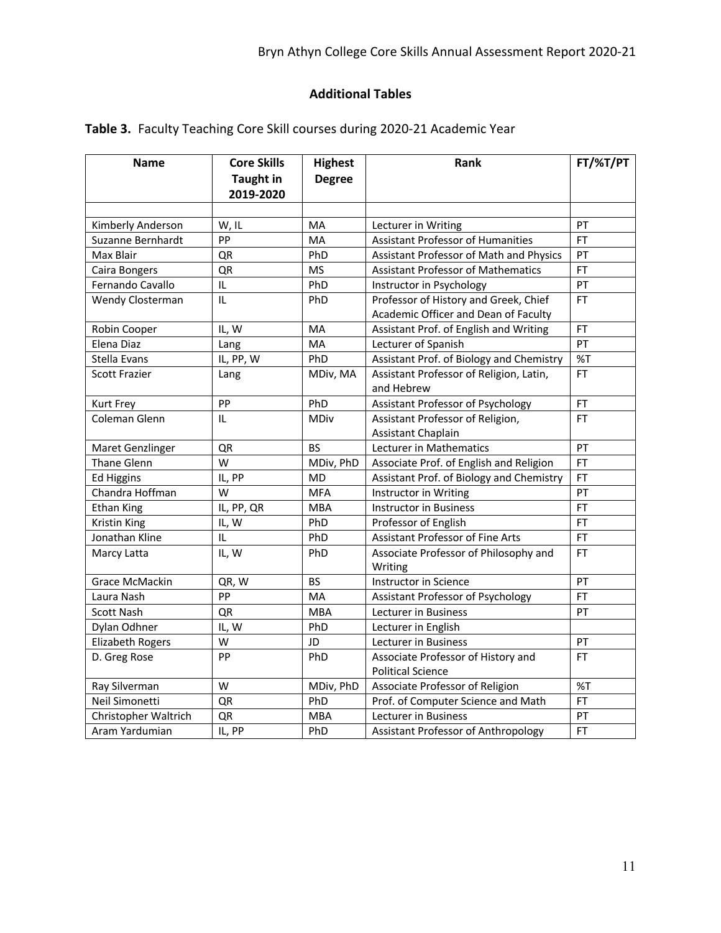# **Additional Tables**

| <b>Name</b>             | <b>Highest</b><br><b>Core Skills</b><br>Rank |               |                                           | FT/%T/PT  |
|-------------------------|----------------------------------------------|---------------|-------------------------------------------|-----------|
|                         | <b>Taught in</b>                             | <b>Degree</b> |                                           |           |
|                         | 2019-2020                                    |               |                                           |           |
|                         |                                              |               |                                           |           |
| Kimberly Anderson       | W, IL                                        | MA            | Lecturer in Writing                       | PT        |
| Suzanne Bernhardt       | PP                                           | MA            | <b>Assistant Professor of Humanities</b>  | <b>FT</b> |
| Max Blair               | QR                                           | PhD           | Assistant Professor of Math and Physics   | PT        |
| Caira Bongers           | QR                                           | <b>MS</b>     | <b>Assistant Professor of Mathematics</b> | FT.       |
| Fernando Cavallo        | IL                                           | PhD           | Instructor in Psychology                  | PT        |
| Wendy Closterman        | IL                                           | PhD           | Professor of History and Greek, Chief     | <b>FT</b> |
|                         |                                              |               | Academic Officer and Dean of Faculty      |           |
| Robin Cooper            | IL, W                                        | MA            | Assistant Prof. of English and Writing    | <b>FT</b> |
| Elena Diaz              | Lang                                         | MA            | Lecturer of Spanish                       | PT        |
| Stella Evans            | IL, PP, W                                    | PhD           | Assistant Prof. of Biology and Chemistry  | %T        |
| <b>Scott Frazier</b>    | Lang                                         | MDiv, MA      | Assistant Professor of Religion, Latin,   | <b>FT</b> |
|                         |                                              |               | and Hebrew                                |           |
| <b>Kurt Frey</b>        | PP                                           | PhD           | Assistant Professor of Psychology         | <b>FT</b> |
| Coleman Glenn           | IL                                           | <b>MDiv</b>   | Assistant Professor of Religion,          | <b>FT</b> |
|                         |                                              |               | <b>Assistant Chaplain</b>                 |           |
| Maret Genzlinger        | QR                                           | <b>BS</b>     | Lecturer in Mathematics                   | PT        |
| Thane Glenn             | W                                            | MDiv, PhD     | Associate Prof. of English and Religion   | <b>FT</b> |
| <b>Ed Higgins</b>       | IL, PP                                       | MD            | Assistant Prof. of Biology and Chemistry  | <b>FT</b> |
| Chandra Hoffman         | W                                            | <b>MFA</b>    | Instructor in Writing                     | PT        |
| Ethan King              | IL, PP, QR                                   | <b>MBA</b>    | <b>Instructor in Business</b>             | <b>FT</b> |
| Kristin King            | IL, W                                        | PhD           | Professor of English                      | FT        |
| Jonathan Kline          | IL                                           | PhD           | <b>Assistant Professor of Fine Arts</b>   | <b>FT</b> |
| Marcy Latta             | IL, W                                        | PhD           | Associate Professor of Philosophy and     | <b>FT</b> |
|                         |                                              |               | Writing                                   |           |
| Grace McMackin          | QR, W                                        | <b>BS</b>     | Instructor in Science                     | PT        |
| Laura Nash              | PP                                           | MA            | Assistant Professor of Psychology         | <b>FT</b> |
| <b>Scott Nash</b>       | QR                                           | <b>MBA</b>    | Lecturer in Business                      | PT        |
| Dylan Odhner            | IL, W                                        | PhD           | Lecturer in English                       |           |
| <b>Elizabeth Rogers</b> | W                                            | JD            | Lecturer in Business                      | PT        |
| D. Greg Rose            | PP                                           | PhD           | Associate Professor of History and        | <b>FT</b> |
|                         |                                              |               | <b>Political Science</b>                  |           |
| Ray Silverman           | W                                            | MDiv, PhD     | Associate Professor of Religion           | %T        |
| Neil Simonetti          | QR                                           | PhD           | Prof. of Computer Science and Math        | <b>FT</b> |
| Christopher Waltrich    | QR                                           | <b>MBA</b>    | <b>Lecturer in Business</b>               | PT        |
| Aram Yardumian          | IL, PP                                       | PhD           | Assistant Professor of Anthropology       | <b>FT</b> |

**Table 3.** Faculty Teaching Core Skill courses during 2020-21 Academic Year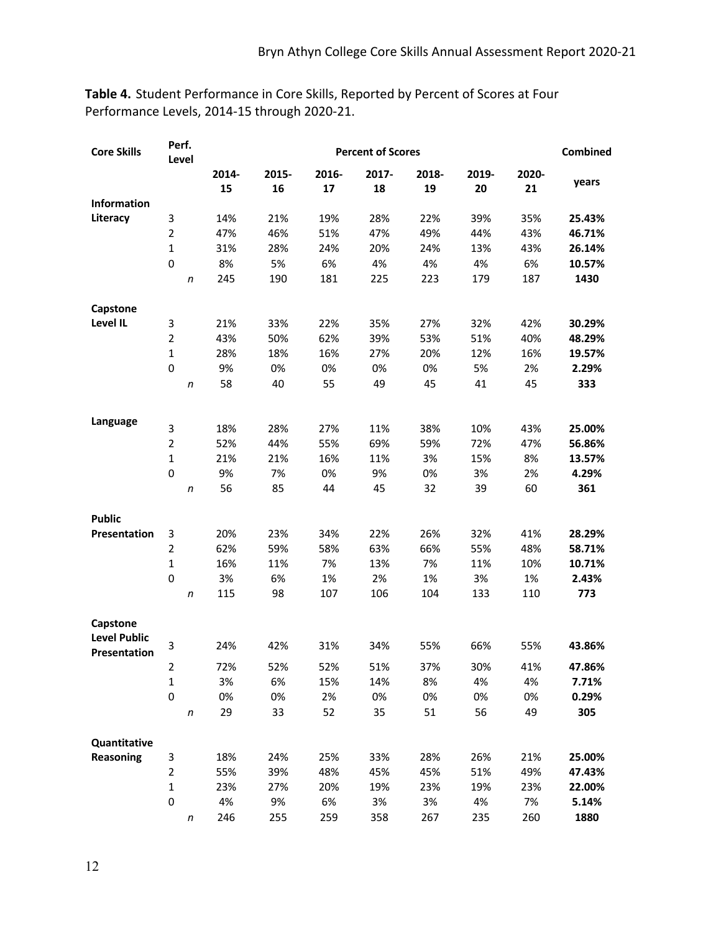**Table 4.** Student Performance in Core Skills, Reported by Percent of Scores at Four Performance Levels, 2014-15 through 2020-21.

| <b>Core Skills</b>                  |                | Perf.<br>Level | <b>Percent of Scores</b> |       |       |       |       |       |       | Combined |
|-------------------------------------|----------------|----------------|--------------------------|-------|-------|-------|-------|-------|-------|----------|
|                                     |                |                | 2014-                    | 2015- | 2016- | 2017- | 2018- | 2019- | 2020- |          |
|                                     |                |                | 15                       | 16    | 17    | 18    | 19    | 20    | 21    | years    |
| Information                         |                |                |                          |       |       |       |       |       |       |          |
| Literacy                            | 3              |                | 14%                      | 21%   | 19%   | 28%   | 22%   | 39%   | 35%   | 25.43%   |
|                                     | $\overline{2}$ |                | 47%                      | 46%   | 51%   | 47%   | 49%   | 44%   | 43%   | 46.71%   |
|                                     | $\mathbf{1}$   |                | 31%                      | 28%   | 24%   | 20%   | 24%   | 13%   | 43%   | 26.14%   |
|                                     | $\mathbf 0$    |                | 8%                       | 5%    | 6%    | 4%    | 4%    | 4%    | 6%    | 10.57%   |
|                                     |                | n              | 245                      | 190   | 181   | 225   | 223   | 179   | 187   | 1430     |
|                                     |                |                |                          |       |       |       |       |       |       |          |
| Capstone<br>Level IL                | 3              |                | 21%                      | 33%   | 22%   | 35%   | 27%   | 32%   | 42%   | 30.29%   |
|                                     | $\overline{2}$ |                | 43%                      | 50%   | 62%   | 39%   | 53%   | 51%   | 40%   | 48.29%   |
|                                     | $\mathbf{1}$   |                | 28%                      | 18%   | 16%   | 27%   | 20%   | 12%   | 16%   | 19.57%   |
|                                     | $\mathbf 0$    |                | 9%                       | 0%    | 0%    | 0%    | 0%    | 5%    | 2%    | 2.29%    |
|                                     |                | n              | 58                       | 40    | 55    | 49    | 45    | 41    | 45    | 333      |
|                                     |                |                |                          |       |       |       |       |       |       |          |
| Language                            |                |                |                          |       |       |       |       |       |       |          |
|                                     | 3              |                | 18%                      | 28%   | 27%   | 11%   | 38%   | 10%   | 43%   | 25.00%   |
|                                     | $\overline{2}$ |                | 52%                      | 44%   | 55%   | 69%   | 59%   | 72%   | 47%   | 56.86%   |
|                                     | $\mathbf 1$    |                | 21%                      | 21%   | 16%   | 11%   | 3%    | 15%   | 8%    | 13.57%   |
|                                     | $\mathbf 0$    |                | 9%                       | 7%    | 0%    | 9%    | 0%    | 3%    | 2%    | 4.29%    |
|                                     |                | n              | 56                       | 85    | 44    | 45    | 32    | 39    | 60    | 361      |
| <b>Public</b>                       |                |                |                          |       |       |       |       |       |       |          |
| Presentation                        | 3              |                | 20%                      | 23%   | 34%   | 22%   | 26%   | 32%   | 41%   | 28.29%   |
|                                     | $\overline{2}$ |                | 62%                      | 59%   | 58%   | 63%   | 66%   | 55%   | 48%   | 58.71%   |
|                                     | $\mathbf{1}$   |                | 16%                      | 11%   | 7%    | 13%   | 7%    | 11%   | 10%   | 10.71%   |
|                                     | $\mathbf 0$    |                | 3%                       | 6%    | 1%    | 2%    | 1%    | 3%    | 1%    | 2.43%    |
|                                     |                | n              | 115                      | 98    | 107   | 106   | 104   | 133   | 110   | 773      |
| Capstone                            |                |                |                          |       |       |       |       |       |       |          |
| <b>Level Public</b><br>Presentation | 3              |                | 24%                      | 42%   | 31%   | 34%   | 55%   | 66%   | 55%   | 43.86%   |
|                                     | $\mathcal{P}$  |                | 72%                      | 52%   | 52%   | 51%   | 37%   | 30%   | 41%   | 47.86%   |
|                                     | 1              |                | 3%                       | 6%    | 15%   | 14%   | 8%    | 4%    | 4%    | 7.71%    |
|                                     | 0              |                | 0%                       | 0%    | 2%    | 0%    | 0%    | 0%    | 0%    | 0.29%    |
|                                     |                | n              | 29                       | 33    | 52    | 35    | 51    | 56    | 49    | 305      |
| Quantitative                        |                |                |                          |       |       |       |       |       |       |          |
| Reasoning                           | 3              |                | 18%                      | 24%   | 25%   | 33%   | 28%   | 26%   | 21%   | 25.00%   |
|                                     | $\mathbf{2}$   |                | 55%                      | 39%   | 48%   | 45%   | 45%   | 51%   | 49%   | 47.43%   |
|                                     | $\mathbf{1}$   |                | 23%                      | 27%   | 20%   | 19%   | 23%   | 19%   | 23%   | 22.00%   |
|                                     | 0              |                | 4%                       | 9%    | 6%    | 3%    | 3%    | 4%    | 7%    | 5.14%    |
|                                     |                | n              | 246                      | 255   | 259   | 358   | 267   | 235   | 260   | 1880     |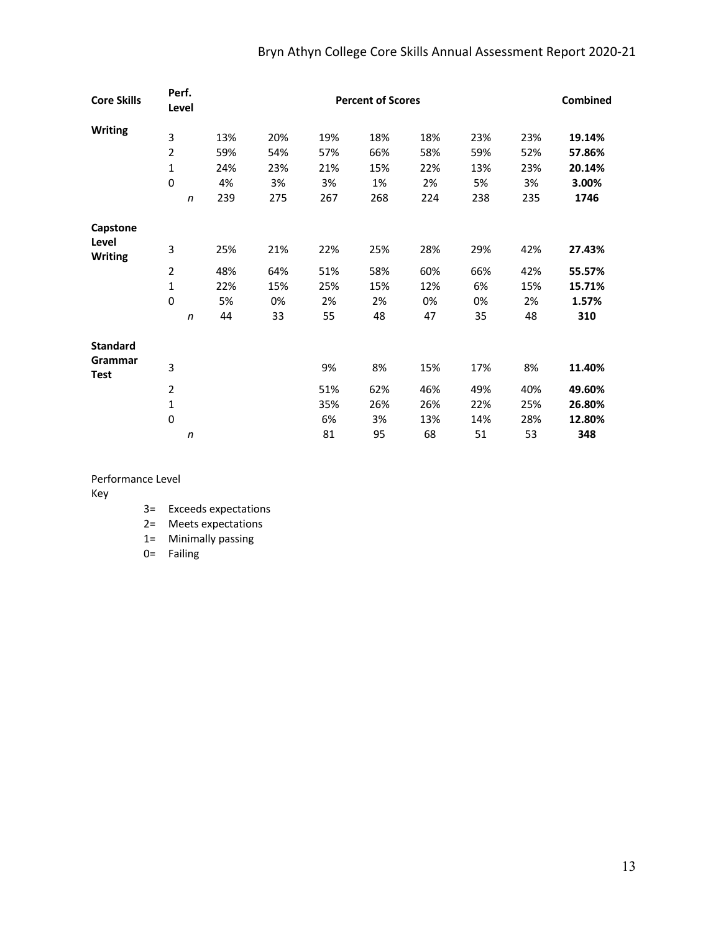# Bryn Athyn College Core Skills Annual Assessment Report 2020-21

| <b>Core Skills</b>      | Perf.<br>Level   |     | <b>Percent of Scores</b> |     |     |     |     |     |        |  |
|-------------------------|------------------|-----|--------------------------|-----|-----|-----|-----|-----|--------|--|
| <b>Writing</b>          | 3                | 13% | 20%                      | 19% | 18% | 18% | 23% | 23% | 19.14% |  |
|                         | $\overline{2}$   | 59% | 54%                      | 57% | 66% | 58% | 59% | 52% | 57.86% |  |
|                         | 1                | 24% | 23%                      | 21% | 15% | 22% | 13% | 23% | 20.14% |  |
|                         | $\mathbf 0$      | 4%  | 3%                       | 3%  | 1%  | 2%  | 5%  | 3%  | 3.00%  |  |
|                         | $\boldsymbol{n}$ | 239 | 275                      | 267 | 268 | 224 | 238 | 235 | 1746   |  |
| Capstone                |                  |     |                          |     |     |     |     |     |        |  |
| Level<br><b>Writing</b> | 3                | 25% | 21%                      | 22% | 25% | 28% | 29% | 42% | 27.43% |  |
|                         | $\overline{2}$   | 48% | 64%                      | 51% | 58% | 60% | 66% | 42% | 55.57% |  |
|                         | 1                | 22% | 15%                      | 25% | 15% | 12% | 6%  | 15% | 15.71% |  |
|                         | $\mathbf 0$      | 5%  | 0%                       | 2%  | 2%  | 0%  | 0%  | 2%  | 1.57%  |  |
|                         | $\boldsymbol{n}$ | 44  | 33                       | 55  | 48  | 47  | 35  | 48  | 310    |  |
| <b>Standard</b>         |                  |     |                          |     |     |     |     |     |        |  |
| Grammar<br>Test         | 3                |     |                          | 9%  | 8%  | 15% | 17% | 8%  | 11.40% |  |
|                         | $\overline{2}$   |     |                          | 51% | 62% | 46% | 49% | 40% | 49.60% |  |
|                         | $\mathbf{1}$     |     |                          | 35% | 26% | 26% | 22% | 25% | 26.80% |  |
|                         | $\mathbf 0$      |     |                          | 6%  | 3%  | 13% | 14% | 28% | 12.80% |  |
|                         | n                |     |                          | 81  | 95  | 68  | 51  | 53  | 348    |  |

Performance Level

Key

3= Exceeds expectations

2= Meets expectations

1= Minimally passing

0= Failing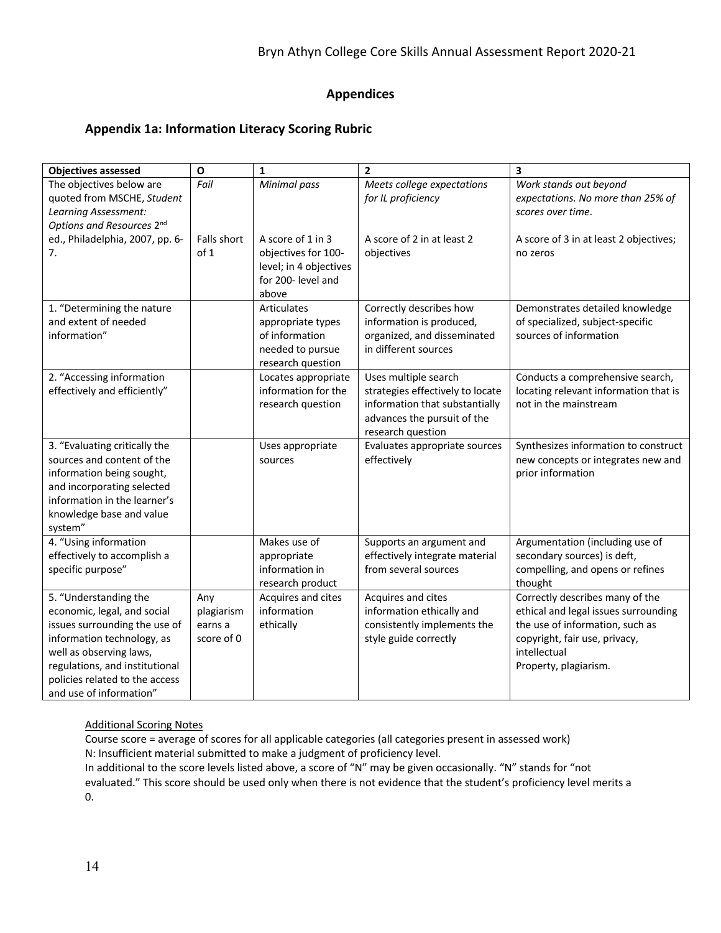# **Appendices**

# **Appendix 1a: Information Literacy Scoring Rubric**

| <b>Objectives assessed</b>                                                                                                                                                                                                                    | $\mathbf{o}$                               | $\mathbf{1}$                                                                                       | $\mathbf{2}$                                                                                                                                   | 3                                                                                                                                                                                    |
|-----------------------------------------------------------------------------------------------------------------------------------------------------------------------------------------------------------------------------------------------|--------------------------------------------|----------------------------------------------------------------------------------------------------|------------------------------------------------------------------------------------------------------------------------------------------------|--------------------------------------------------------------------------------------------------------------------------------------------------------------------------------------|
| The objectives below are<br>quoted from MSCHE, Student<br>Learning Assessment:<br>Options and Resources 2nd                                                                                                                                   | Fail                                       | Minimal pass                                                                                       | Meets college expectations<br>for IL proficiency                                                                                               | Work stands out beyond<br>expectations. No more than 25% of<br>scores over time.                                                                                                     |
| ed., Philadelphia, 2007, pp. 6-<br>7.                                                                                                                                                                                                         | Falls short<br>of 1                        | A score of 1 in 3<br>objectives for 100-<br>level; in 4 objectives<br>for 200- level and<br>above  | A score of 2 in at least 2<br>objectives                                                                                                       | A score of 3 in at least 2 objectives;<br>no zeros                                                                                                                                   |
| 1. "Determining the nature<br>and extent of needed<br>information"                                                                                                                                                                            |                                            | <b>Articulates</b><br>appropriate types<br>of information<br>needed to pursue<br>research question | Correctly describes how<br>information is produced,<br>organized, and disseminated<br>in different sources                                     | Demonstrates detailed knowledge<br>of specialized, subject-specific<br>sources of information                                                                                        |
| 2. "Accessing information<br>effectively and efficiently"                                                                                                                                                                                     |                                            | Locates appropriate<br>information for the<br>research question                                    | Uses multiple search<br>strategies effectively to locate<br>information that substantially<br>advances the pursuit of the<br>research question | Conducts a comprehensive search,<br>locating relevant information that is<br>not in the mainstream                                                                                   |
| 3. "Evaluating critically the<br>sources and content of the<br>information being sought,<br>and incorporating selected<br>information in the learner's<br>knowledge base and value<br>system"                                                 |                                            | Uses appropriate<br>sources                                                                        | Evaluates appropriate sources<br>effectively                                                                                                   | Synthesizes information to construct<br>new concepts or integrates new and<br>prior information                                                                                      |
| 4. "Using information<br>effectively to accomplish a<br>specific purpose"                                                                                                                                                                     |                                            | Makes use of<br>appropriate<br>information in<br>research product                                  | Supports an argument and<br>effectively integrate material<br>from several sources                                                             | Argumentation (including use of<br>secondary sources) is deft,<br>compelling, and opens or refines<br>thought                                                                        |
| 5. "Understanding the<br>economic, legal, and social<br>issues surrounding the use of<br>information technology, as<br>well as observing laws,<br>regulations, and institutional<br>policies related to the access<br>and use of information" | Any<br>plagiarism<br>earns a<br>score of 0 | Acquires and cites<br>information<br>ethically                                                     | Acquires and cites<br>information ethically and<br>consistently implements the<br>style guide correctly                                        | Correctly describes many of the<br>ethical and legal issues surrounding<br>the use of information, such as<br>copyright, fair use, privacy,<br>intellectual<br>Property, plagiarism. |

### Additional Scoring Notes

Course score = average of scores for all applicable categories (all categories present in assessed work) N: Insufficient material submitted to make a judgment of proficiency level.

In additional to the score levels listed above, a score of "N" may be given occasionally. "N" stands for "not evaluated." This score should be used only when there is not evidence that the student's proficiency level merits a 0.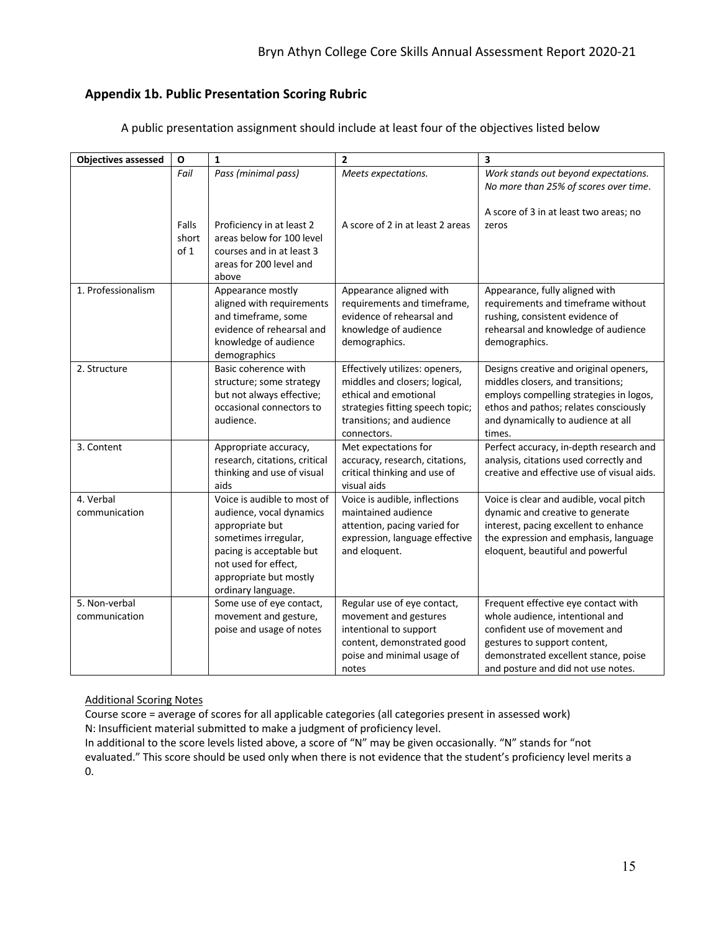# **Appendix 1b. Public Presentation Scoring Rubric**

| <b>Objectives assessed</b>     | $\mathbf{o}$           | $\mathbf{1}$                                                                                                                                                                                           | $\overline{\mathbf{2}}$                                                                                                                                                  | $\overline{\mathbf{3}}$                                                                                                                                                                                               |
|--------------------------------|------------------------|--------------------------------------------------------------------------------------------------------------------------------------------------------------------------------------------------------|--------------------------------------------------------------------------------------------------------------------------------------------------------------------------|-----------------------------------------------------------------------------------------------------------------------------------------------------------------------------------------------------------------------|
|                                | Fail                   | Pass (minimal pass)                                                                                                                                                                                    | Meets expectations.                                                                                                                                                      | Work stands out beyond expectations.<br>No more than 25% of scores over time.                                                                                                                                         |
|                                | Falls<br>short<br>of 1 | Proficiency in at least 2<br>areas below for 100 level<br>courses and in at least 3<br>areas for 200 level and<br>above                                                                                | A score of 2 in at least 2 areas                                                                                                                                         | A score of 3 in at least two areas; no<br>zeros                                                                                                                                                                       |
| 1. Professionalism             |                        | Appearance mostly<br>aligned with requirements<br>and timeframe, some<br>evidence of rehearsal and<br>knowledge of audience<br>demographics                                                            | Appearance aligned with<br>requirements and timeframe,<br>evidence of rehearsal and<br>knowledge of audience<br>demographics.                                            | Appearance, fully aligned with<br>requirements and timeframe without<br>rushing, consistent evidence of<br>rehearsal and knowledge of audience<br>demographics.                                                       |
| 2. Structure                   |                        | Basic coherence with<br>structure; some strategy<br>but not always effective;<br>occasional connectors to<br>audience.                                                                                 | Effectively utilizes: openers,<br>middles and closers; logical,<br>ethical and emotional<br>strategies fitting speech topic;<br>transitions; and audience<br>connectors. | Designs creative and original openers,<br>middles closers, and transitions;<br>employs compelling strategies in logos,<br>ethos and pathos; relates consciously<br>and dynamically to audience at all<br>times.       |
| 3. Content                     |                        | Appropriate accuracy,<br>research, citations, critical<br>thinking and use of visual<br>aids                                                                                                           | Met expectations for<br>accuracy, research, citations,<br>critical thinking and use of<br>visual aids                                                                    | Perfect accuracy, in-depth research and<br>analysis, citations used correctly and<br>creative and effective use of visual aids.                                                                                       |
| 4. Verbal<br>communication     |                        | Voice is audible to most of<br>audience, vocal dynamics<br>appropriate but<br>sometimes irregular,<br>pacing is acceptable but<br>not used for effect,<br>appropriate but mostly<br>ordinary language. | Voice is audible, inflections<br>maintained audience<br>attention, pacing varied for<br>expression, language effective<br>and eloquent.                                  | Voice is clear and audible, vocal pitch<br>dynamic and creative to generate<br>interest, pacing excellent to enhance<br>the expression and emphasis, language<br>eloquent, beautiful and powerful                     |
| 5. Non-verbal<br>communication |                        | Some use of eye contact,<br>movement and gesture,<br>poise and usage of notes                                                                                                                          | Regular use of eye contact,<br>movement and gestures<br>intentional to support<br>content, demonstrated good<br>poise and minimal usage of<br>notes                      | Frequent effective eye contact with<br>whole audience, intentional and<br>confident use of movement and<br>gestures to support content,<br>demonstrated excellent stance, poise<br>and posture and did not use notes. |

A public presentation assignment should include at least four of the objectives listed below

# Additional Scoring Notes

Course score = average of scores for all applicable categories (all categories present in assessed work) N: Insufficient material submitted to make a judgment of proficiency level.

In additional to the score levels listed above, a score of "N" may be given occasionally. "N" stands for "not evaluated." This score should be used only when there is not evidence that the student's proficiency level merits a 0.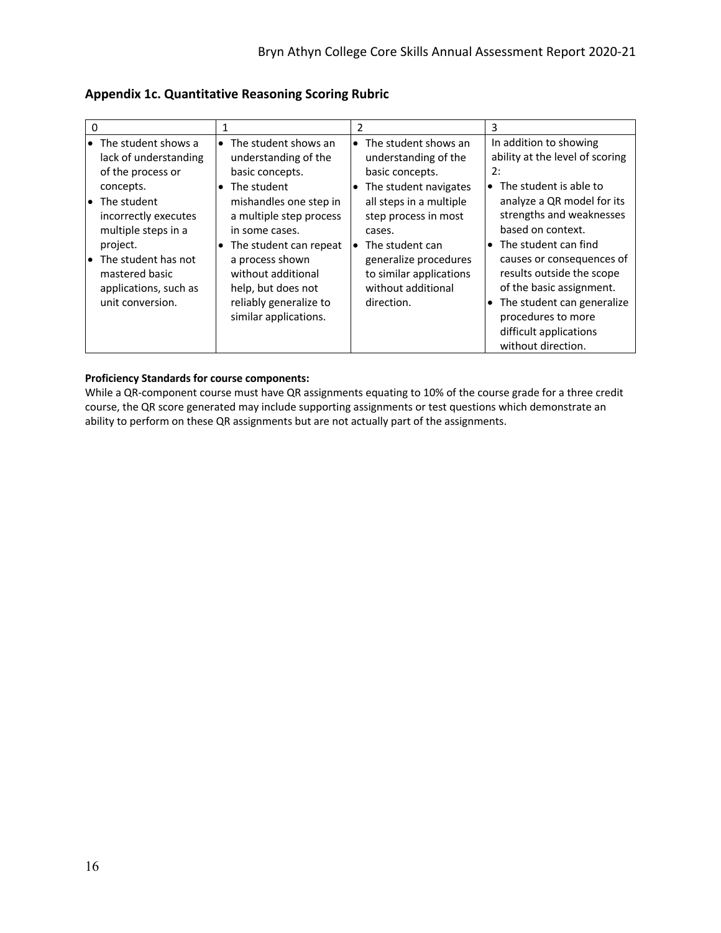| 0                                                                                                                                                                                                                                                                      |                                                                                                                                                                                                                                                                                                                                  | 2                                                                                                                                                                                                                                                                                       | 3                                                                                                                                                                                                                                                                                                                                                                                                                    |
|------------------------------------------------------------------------------------------------------------------------------------------------------------------------------------------------------------------------------------------------------------------------|----------------------------------------------------------------------------------------------------------------------------------------------------------------------------------------------------------------------------------------------------------------------------------------------------------------------------------|-----------------------------------------------------------------------------------------------------------------------------------------------------------------------------------------------------------------------------------------------------------------------------------------|----------------------------------------------------------------------------------------------------------------------------------------------------------------------------------------------------------------------------------------------------------------------------------------------------------------------------------------------------------------------------------------------------------------------|
| $\bullet$ The student shows a<br>lack of understanding<br>of the process or<br>concepts.<br>The student<br>l o<br>incorrectly executes<br>multiple steps in a<br>project.<br>The student has not<br>l o<br>mastered basic<br>applications, such as<br>unit conversion. | The student shows an<br>$\bullet$<br>understanding of the<br>basic concepts.<br>The student<br>$\bullet$<br>mishandles one step in<br>a multiple step process<br>in some cases.<br>The student can repeat<br>٠<br>a process shown<br>without additional<br>help, but does not<br>reliably generalize to<br>similar applications. | $\bullet$ The student shows an<br>understanding of the<br>basic concepts.<br>The student navigates<br>$\bullet$<br>all steps in a multiple<br>step process in most<br>cases.<br>The student can<br>generalize procedures<br>to similar applications<br>without additional<br>direction. | In addition to showing<br>ability at the level of scoring<br>2:<br>The student is able to<br>$\bullet$<br>analyze a QR model for its<br>strengths and weaknesses<br>based on context.<br>The student can find<br>$\bullet$<br>causes or consequences of<br>results outside the scope<br>of the basic assignment.<br>The student can generalize<br>procedures to more<br>difficult applications<br>without direction. |

**Appendix 1c. Quantitative Reasoning Scoring Rubric**

#### **Proficiency Standards for course components:**

While a QR-component course must have QR assignments equating to 10% of the course grade for a three credit course, the QR score generated may include supporting assignments or test questions which demonstrate an ability to perform on these QR assignments but are not actually part of the assignments.